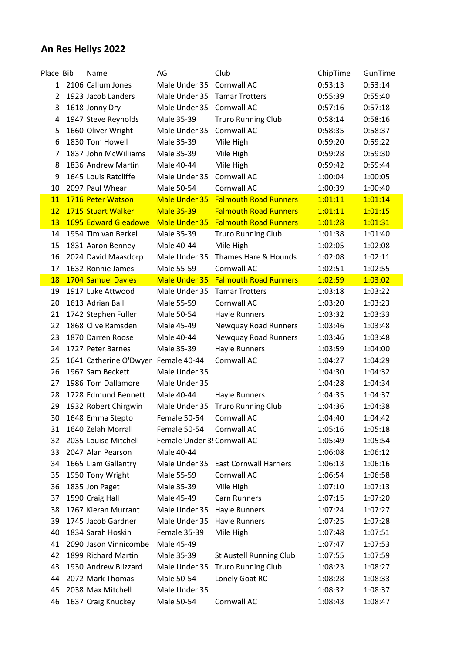## **An Res Hellys 2022**

| Place Bib      | Name                                | AG                          | Club                             | ChipTime | GunTime |
|----------------|-------------------------------------|-----------------------------|----------------------------------|----------|---------|
|                | 1 2106 Callum Jones                 | Male Under 35 Cornwall AC   |                                  | 0:53:13  | 0:53:14 |
| $\overline{2}$ | 1923 Jacob Landers                  | Male Under 35               | <b>Tamar Trotters</b>            | 0:55:39  | 0:55:40 |
| 3              | 1618 Jonny Dry                      | Male Under 35               | Cornwall AC                      | 0:57:16  | 0:57:18 |
| 4              | 1947 Steve Reynolds                 | Male 35-39                  | <b>Truro Running Club</b>        | 0:58:14  | 0:58:16 |
| 5              | 1660 Oliver Wright                  | Male Under 35               | Cornwall AC                      | 0:58:35  | 0:58:37 |
| 6              | 1830 Tom Howell                     | Male 35-39                  | Mile High                        | 0:59:20  | 0:59:22 |
| 7              | 1837 John McWilliams                | Male 35-39                  | Mile High                        | 0:59:28  | 0:59:30 |
| 8              | 1836 Andrew Martin                  | Male 40-44                  | Mile High                        | 0:59:42  | 0:59:44 |
| 9              | 1645 Louis Ratcliffe                | Male Under 35               | Cornwall AC                      | 1:00:04  | 1:00:05 |
| 10             | 2097 Paul Whear                     | Male 50-54                  | Cornwall AC                      | 1:00:39  | 1:00:40 |
| 11             | 1716 Peter Watson                   | Male Under 35               | <b>Falmouth Road Runners</b>     | 1:01:11  | 1:01:14 |
| 12             | 1715 Stuart Walker                  | <b>Male 35-39</b>           | <b>Falmouth Road Runners</b>     | 1:01:11  | 1:01:15 |
| 13             | 1695 Edward Gleadowe                | Male Under 35               | <b>Falmouth Road Runners</b>     | 1:01:28  | 1:01:31 |
| 14             | 1954 Tim van Berkel                 | Male 35-39                  | <b>Truro Running Club</b>        | 1:01:38  | 1:01:40 |
| 15             | 1831 Aaron Benney                   | Male 40-44                  | Mile High                        | 1:02:05  | 1:02:08 |
| 16             | 2024 David Maasdorp                 | Male Under 35               | Thames Hare & Hounds             | 1:02:08  | 1:02:11 |
| 17             | 1632 Ronnie James                   | Male 55-59                  | Cornwall AC                      | 1:02:51  | 1:02:55 |
| <b>18</b>      | 1704 Samuel Davies                  | Male Under 35               | <b>Falmouth Road Runners</b>     | 1:02:59  | 1:03:02 |
| 19             | 1917 Luke Attwood                   | Male Under 35               | <b>Tamar Trotters</b>            | 1:03:18  | 1:03:22 |
| 20             | 1613 Adrian Ball                    | Male 55-59                  | Cornwall AC                      | 1:03:20  | 1:03:23 |
| 21             | 1742 Stephen Fuller                 | Male 50-54                  | Hayle Runners                    | 1:03:32  | 1:03:33 |
| 22             | 1868 Clive Ramsden                  | Male 45-49                  | Newquay Road Runners             | 1:03:46  | 1:03:48 |
| 23             | 1870 Darren Roose                   | Male 40-44                  | Newquay Road Runners             | 1:03:46  | 1:03:48 |
| 24             | 1727 Peter Barnes                   | Male 35-39                  | Hayle Runners                    | 1:03:59  | 1:04:00 |
| 25             | 1641 Catherine O'Dwyer Female 40-44 |                             | Cornwall AC                      | 1:04:27  | 1:04:29 |
| 26             | 1967 Sam Beckett                    | Male Under 35               |                                  | 1:04:30  | 1:04:32 |
| 27             | 1986 Tom Dallamore                  | Male Under 35               |                                  | 1:04:28  | 1:04:34 |
| 28             | 1728 Edmund Bennett                 | Male 40-44                  | Hayle Runners                    | 1:04:35  | 1:04:37 |
| 29             | 1932 Robert Chirgwin                |                             | Male Under 35 Truro Running Club | 1:04:36  | 1:04:38 |
| 30             | 1648 Emma Stepto                    | Female 50-54                | Cornwall AC                      | 1:04:40  | 1:04:42 |
| 31             | 1640 Zelah Morrall                  | Female 50-54                | Cornwall AC                      | 1:05:16  | 1:05:18 |
| 32             | 2035 Louise Mitchell                | Female Under 3! Cornwall AC |                                  | 1:05:49  | 1:05:54 |
| 33             | 2047 Alan Pearson                   | Male 40-44                  |                                  | 1:06:08  | 1:06:12 |
| 34             | 1665 Liam Gallantry                 | Male Under 35               | <b>East Cornwall Harriers</b>    | 1:06:13  | 1:06:16 |
| 35             | 1950 Tony Wright                    | Male 55-59                  | Cornwall AC                      | 1:06:54  | 1:06:58 |
| 36             | 1835 Jon Paget                      | Male 35-39                  | Mile High                        | 1:07:10  | 1:07:13 |
| 37             | 1590 Craig Hall                     | Male 45-49                  | <b>Carn Runners</b>              | 1:07:15  | 1:07:20 |
| 38             | 1767 Kieran Murrant                 | Male Under 35               | Hayle Runners                    | 1:07:24  | 1:07:27 |
| 39             | 1745 Jacob Gardner                  | Male Under 35               | Hayle Runners                    | 1:07:25  | 1:07:28 |
| 40             | 1834 Sarah Hoskin                   | Female 35-39                | Mile High                        | 1:07:48  | 1:07:51 |
| 41             | 2090 Jason Vinnicombe               | Male 45-49                  |                                  | 1:07:47  | 1:07:53 |
| 42             | 1899 Richard Martin                 | Male 35-39                  | St Austell Running Club          | 1:07:55  | 1:07:59 |
| 43             | 1930 Andrew Blizzard                | Male Under 35               | <b>Truro Running Club</b>        | 1:08:23  | 1:08:27 |
| 44             | 2072 Mark Thomas                    | Male 50-54                  | Lonely Goat RC                   | 1:08:28  | 1:08:33 |
| 45             | 2038 Max Mitchell                   | Male Under 35               |                                  | 1:08:32  | 1:08:37 |
| 46             | 1637 Craig Knuckey                  | Male 50-54                  | Cornwall AC                      | 1:08:43  | 1:08:47 |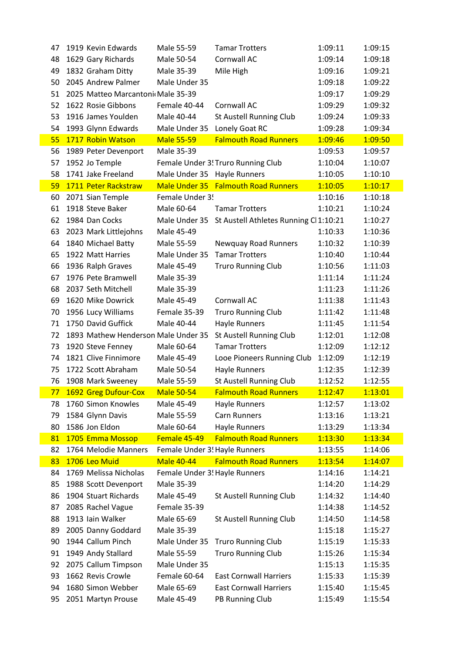| 47 | 1919 Kevin Edwards                  | Male 55-59                    | <b>Tamar Trotters</b>                  | 1:09:11 | 1:09:15 |
|----|-------------------------------------|-------------------------------|----------------------------------------|---------|---------|
| 48 | 1629 Gary Richards                  | Male 50-54                    | Cornwall AC                            | 1:09:14 | 1:09:18 |
| 49 | 1832 Graham Ditty                   | Male 35-39                    | Mile High                              | 1:09:16 | 1:09:21 |
| 50 | 2045 Andrew Palmer                  | Male Under 35                 |                                        | 1:09:18 | 1:09:22 |
| 51 | 2025 Matteo Marcantoni Male 35-39   |                               |                                        | 1:09:17 | 1:09:29 |
| 52 | 1622 Rosie Gibbons                  | Female 40-44                  | Cornwall AC                            | 1:09:29 | 1:09:32 |
| 53 | 1916 James Youlden                  | Male 40-44                    | <b>St Austell Running Club</b>         | 1:09:24 | 1:09:33 |
| 54 | 1993 Glynn Edwards                  | Male Under 35                 | Lonely Goat RC                         | 1:09:28 | 1:09:34 |
| 55 | 1717 Robin Watson                   | <b>Male 55-59</b>             | <b>Falmouth Road Runners</b>           | 1:09:46 | 1:09:50 |
| 56 | 1989 Peter Devenport                | Male 35-39                    |                                        | 1:09:53 | 1:09:57 |
| 57 | 1952 Jo Temple                      |                               | Female Under 3! Truro Running Club     | 1:10:04 | 1:10:07 |
| 58 | 1741 Jake Freeland                  | Male Under 35 Hayle Runners   |                                        | 1:10:05 | 1:10:10 |
| 59 | 1711 Peter Rackstraw                |                               | Male Under 35 Falmouth Road Runners    | 1:10:05 | 1:10:17 |
| 60 | 2071 Sian Temple                    | Female Under 3!               |                                        | 1:10:16 | 1:10:18 |
| 61 | 1918 Steve Baker                    | Male 60-64                    | <b>Tamar Trotters</b>                  | 1:10:21 | 1:10:24 |
| 62 | 1984 Dan Cocks                      | Male Under 35                 | St Austell Athletes Running Cl 1:10:21 |         | 1:10:27 |
| 63 | 2023 Mark Littlejohns               | Male 45-49                    |                                        | 1:10:33 | 1:10:36 |
| 64 | 1840 Michael Batty                  | Male 55-59                    | <b>Newquay Road Runners</b>            | 1:10:32 | 1:10:39 |
| 65 | 1922 Matt Harries                   | Male Under 35                 | <b>Tamar Trotters</b>                  | 1:10:40 | 1:10:44 |
| 66 | 1936 Ralph Graves                   | Male 45-49                    | <b>Truro Running Club</b>              | 1:10:56 | 1:11:03 |
| 67 | 1976 Pete Bramwell                  | Male 35-39                    |                                        | 1:11:14 | 1:11:24 |
| 68 | 2037 Seth Mitchell                  | Male 35-39                    |                                        | 1:11:23 | 1:11:26 |
| 69 | 1620 Mike Dowrick                   | Male 45-49                    | Cornwall AC                            | 1:11:38 | 1:11:43 |
| 70 | 1956 Lucy Williams                  | Female 35-39                  | <b>Truro Running Club</b>              | 1:11:42 | 1:11:48 |
| 71 | 1750 David Guffick                  | Male 40-44                    | <b>Hayle Runners</b>                   | 1:11:45 | 1:11:54 |
| 72 | 1893 Mathew Henderson Male Under 35 |                               | St Austell Running Club                | 1:12:01 | 1:12:08 |
| 73 | 1920 Steve Fenney                   | Male 60-64                    | <b>Tamar Trotters</b>                  | 1:12:09 | 1:12:12 |
| 74 | 1821 Clive Finnimore                | Male 45-49                    | Looe Pioneers Running Club             | 1:12:09 | 1:12:19 |
| 75 | 1722 Scott Abraham                  | Male 50-54                    | Hayle Runners                          | 1:12:35 | 1:12:39 |
| 76 | 1908 Mark Sweeney                   | Male 55-59                    | St Austell Running Club                | 1:12:52 | 1:12:55 |
|    | 77 1692 Greg Dufour-Cox             | <b>Male 50-54</b>             | <b>Falmouth Road Runners</b>           | 1:12:47 | 1:13:01 |
| 78 | 1760 Simon Knowles                  | Male 45-49                    | Hayle Runners                          | 1:12:57 | 1:13:02 |
| 79 | 1584 Glynn Davis                    | Male 55-59                    | <b>Carn Runners</b>                    | 1:13:16 | 1:13:21 |
| 80 | 1586 Jon Eldon                      | Male 60-64                    | Hayle Runners                          | 1:13:29 | 1:13:34 |
| 81 | 1705 Emma Mossop                    | Female 45-49                  | <b>Falmouth Road Runners</b>           | 1:13:30 | 1:13:34 |
| 82 | 1764 Melodie Manners                | Female Under 3! Hayle Runners |                                        | 1:13:55 | 1:14:06 |
| 83 | 1706 Leo Muid                       | <b>Male 40-44</b>             | <b>Falmouth Road Runners</b>           | 1:13:54 | 1:14:07 |
| 84 | 1769 Melissa Nicholas               | Female Under 3! Hayle Runners |                                        | 1:14:16 | 1:14:21 |
| 85 | 1988 Scott Devenport                | Male 35-39                    |                                        | 1:14:20 | 1:14:29 |
| 86 | 1904 Stuart Richards                | Male 45-49                    | St Austell Running Club                | 1:14:32 | 1:14:40 |
| 87 | 2085 Rachel Vague                   | Female 35-39                  |                                        | 1:14:38 | 1:14:52 |
| 88 | 1913 Iain Walker                    | Male 65-69                    | St Austell Running Club                | 1:14:50 | 1:14:58 |
| 89 | 2005 Danny Goddard                  | Male 35-39                    |                                        | 1:15:18 | 1:15:27 |
| 90 | 1944 Callum Pinch                   | Male Under 35                 | <b>Truro Running Club</b>              | 1:15:19 | 1:15:33 |
| 91 | 1949 Andy Stallard                  | Male 55-59                    | <b>Truro Running Club</b>              | 1:15:26 | 1:15:34 |
| 92 | 2075 Callum Timpson                 | Male Under 35                 |                                        | 1:15:13 | 1:15:35 |
| 93 | 1662 Revis Crowle                   | Female 60-64                  | <b>East Cornwall Harriers</b>          | 1:15:33 | 1:15:39 |
| 94 | 1680 Simon Webber                   | Male 65-69                    | <b>East Cornwall Harriers</b>          | 1:15:40 | 1:15:45 |
| 95 | 2051 Martyn Prouse                  | Male 45-49                    | PB Running Club                        | 1:15:49 | 1:15:54 |
|    |                                     |                               |                                        |         |         |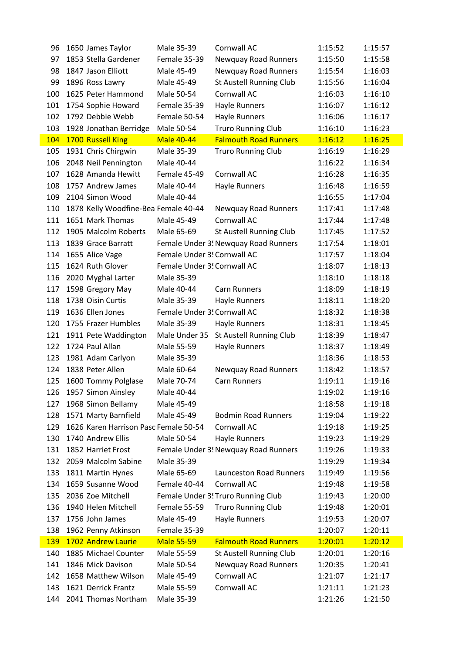| 96         | 1650 James Taylor                     | Male 35-39                  | Cornwall AC                          | 1:15:52 | 1:15:57 |
|------------|---------------------------------------|-----------------------------|--------------------------------------|---------|---------|
| 97         | 1853 Stella Gardener                  | Female 35-39                | <b>Newquay Road Runners</b>          | 1:15:50 | 1:15:58 |
| 98         | 1847 Jason Elliott                    | Male 45-49                  | <b>Newquay Road Runners</b>          | 1:15:54 | 1:16:03 |
| 99         | 1896 Ross Lawry                       | Male 45-49                  | St Austell Running Club              | 1:15:56 | 1:16:04 |
| 100        | 1625 Peter Hammond                    | Male 50-54                  | Cornwall AC                          | 1:16:03 | 1:16:10 |
| 101        | 1754 Sophie Howard                    | Female 35-39                | Hayle Runners                        | 1:16:07 | 1:16:12 |
| 102        | 1792 Debbie Webb                      | Female 50-54                | Hayle Runners                        | 1:16:06 | 1:16:17 |
| 103        | 1928 Jonathan Berridge                | Male 50-54                  | <b>Truro Running Club</b>            | 1:16:10 | 1:16:23 |
| 104        | 1700 Russell King                     | <b>Male 40-44</b>           | <b>Falmouth Road Runners</b>         | 1:16:12 | 1:16:25 |
| 105        | 1931 Chris Chirgwin                   | Male 35-39                  | <b>Truro Running Club</b>            | 1:16:19 | 1:16:29 |
| 106        | 2048 Neil Pennington                  | Male 40-44                  |                                      | 1:16:22 | 1:16:34 |
| 107        | 1628 Amanda Hewitt                    | Female 45-49                | Cornwall AC                          | 1:16:28 | 1:16:35 |
| 108        | 1757 Andrew James                     | Male 40-44                  | Hayle Runners                        | 1:16:48 | 1:16:59 |
| 109        | 2104 Simon Wood                       | Male 40-44                  |                                      | 1:16:55 | 1:17:04 |
| 110        | 1878 Kelly Woodfine-Bea Female 40-44  |                             | <b>Newquay Road Runners</b>          | 1:17:41 | 1:17:48 |
| 111        | 1651 Mark Thomas                      | Male 45-49                  | Cornwall AC                          | 1:17:44 | 1:17:48 |
| 112        | 1905 Malcolm Roberts                  | Male 65-69                  | St Austell Running Club              | 1:17:45 | 1:17:52 |
| 113        | 1839 Grace Barratt                    |                             | Female Under 3! Newquay Road Runners | 1:17:54 | 1:18:01 |
| 114        | 1655 Alice Vage                       | Female Under 3! Cornwall AC |                                      | 1:17:57 | 1:18:04 |
| 115        | 1624 Ruth Glover                      | Female Under 3! Cornwall AC |                                      | 1:18:07 | 1:18:13 |
| 116        | 2020 Myghal Larter                    | Male 35-39                  |                                      | 1:18:10 | 1:18:18 |
| 117        | 1598 Gregory May                      | Male 40-44                  | <b>Carn Runners</b>                  | 1:18:09 | 1:18:19 |
| 118        | 1738 Oisin Curtis                     | Male 35-39                  | Hayle Runners                        | 1:18:11 | 1:18:20 |
| 119        | 1636 Ellen Jones                      | Female Under 3! Cornwall AC |                                      | 1:18:32 | 1:18:38 |
| 120        | 1755 Frazer Humbles                   | Male 35-39                  | Hayle Runners                        | 1:18:31 | 1:18:45 |
| 121        | 1911 Pete Waddington                  | Male Under 35               | St Austell Running Club              | 1:18:39 | 1:18:47 |
| 122        | 1724 Paul Allan                       | Male 55-59                  | Hayle Runners                        | 1:18:37 | 1:18:49 |
| 123        | 1981 Adam Carlyon                     | Male 35-39                  |                                      | 1:18:36 | 1:18:53 |
| 124        | 1838 Peter Allen                      | Male 60-64                  | Newquay Road Runners                 | 1:18:42 | 1:18:57 |
| 125        | 1600 Tommy Polglase                   | Male 70-74                  | <b>Carn Runners</b>                  | 1:19:11 | 1:19:16 |
|            | 126 1957 Simon Ainsley                | Male 40-44                  |                                      | 1:19:02 | 1:19:16 |
| 127        | 1968 Simon Bellamy                    | Male 45-49                  |                                      | 1:18:58 | 1:19:18 |
| 128        | 1571 Marty Barnfield                  | Male 45-49                  | <b>Bodmin Road Runners</b>           | 1:19:04 | 1:19:22 |
| 129        | 1626 Karen Harrison Pasc Female 50-54 |                             | Cornwall AC                          | 1:19:18 | 1:19:25 |
| 130        | 1740 Andrew Ellis                     | Male 50-54                  | <b>Hayle Runners</b>                 | 1:19:23 | 1:19:29 |
| 131        | 1852 Harriet Frost                    |                             | Female Under 3! Newquay Road Runners | 1:19:26 | 1:19:33 |
| 132        | 2059 Malcolm Sabine                   | Male 35-39                  |                                      | 1:19:29 | 1:19:34 |
| 133        | 1811 Martin Hynes                     | Male 65-69                  | <b>Launceston Road Runners</b>       | 1:19:49 | 1:19:56 |
| 134        | 1659 Susanne Wood                     | Female 40-44                | Cornwall AC                          | 1:19:48 | 1:19:58 |
| 135        | 2036 Zoe Mitchell                     |                             | Female Under 3! Truro Running Club   | 1:19:43 | 1:20:00 |
| 136        | 1940 Helen Mitchell                   | Female 55-59                | <b>Truro Running Club</b>            | 1:19:48 | 1:20:01 |
| 137        | 1756 John James                       | Male 45-49                  | Hayle Runners                        | 1:19:53 | 1:20:07 |
| 138        | 1962 Penny Atkinson                   | Female 35-39                |                                      | 1:20:07 | 1:20:11 |
| <b>139</b> | 1702 Andrew Laurie                    | <b>Male 55-59</b>           | <b>Falmouth Road Runners</b>         | 1:20:01 | 1:20:12 |
| 140        | 1885 Michael Counter                  | Male 55-59                  | St Austell Running Club              | 1:20:01 | 1:20:16 |
| 141        | 1846 Mick Davison                     | Male 50-54                  | Newquay Road Runners                 | 1:20:35 | 1:20:41 |
| 142        | 1658 Matthew Wilson                   | Male 45-49                  | Cornwall AC                          | 1:21:07 | 1:21:17 |
| 143        | 1621 Derrick Frantz                   | Male 55-59                  | Cornwall AC                          | 1:21:11 | 1:21:23 |
| 144        | 2041 Thomas Northam                   | Male 35-39                  |                                      | 1:21:26 | 1:21:50 |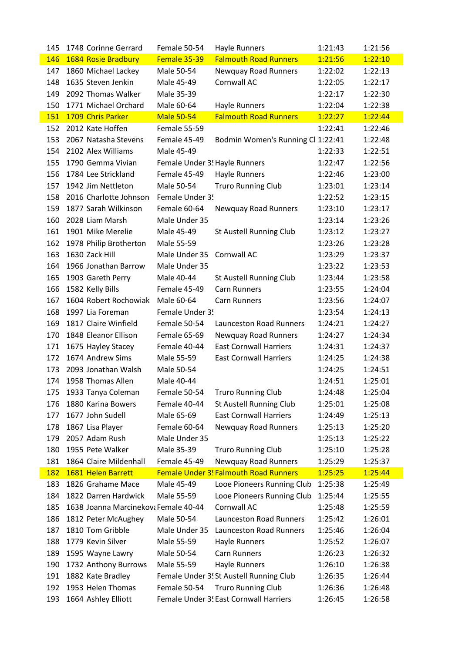| 145        | 1748 Corinne Gerrard                 | Female 50-54                  | <b>Hayle Runners</b>                         | 1:21:43 | 1:21:56 |
|------------|--------------------------------------|-------------------------------|----------------------------------------------|---------|---------|
| 146        | 1684 Rosie Bradbury                  | Female 35-39                  | <b>Falmouth Road Runners</b>                 | 1:21:56 | 1:22:10 |
| 147        | 1860 Michael Lackey                  | Male 50-54                    | Newquay Road Runners                         | 1:22:02 | 1:22:13 |
| 148        | 1635 Steven Jenkin                   | Male 45-49                    | Cornwall AC                                  | 1:22:05 | 1:22:17 |
| 149        | 2092 Thomas Walker                   | Male 35-39                    |                                              | 1:22:17 | 1:22:30 |
| 150        | 1771 Michael Orchard                 | Male 60-64                    | Hayle Runners                                | 1:22:04 | 1:22:38 |
| 151        | 1709 Chris Parker                    | <b>Male 50-54</b>             | <b>Falmouth Road Runners</b>                 | 1:22:27 | 1:22:44 |
| 152        | 2012 Kate Hoffen                     | Female 55-59                  |                                              | 1:22:41 | 1:22:46 |
| 153        | 2067 Natasha Stevens                 | Female 45-49                  | Bodmin Women's Running Cl 1:22:41            |         | 1:22:48 |
| 154        | 2102 Alex Williams                   | Male 45-49                    |                                              | 1:22:33 | 1:22:51 |
| 155        | 1790 Gemma Vivian                    | Female Under 3! Hayle Runners |                                              | 1:22:47 | 1:22:56 |
| 156        | 1784 Lee Strickland                  | Female 45-49                  | Hayle Runners                                | 1:22:46 | 1:23:00 |
| 157        | 1942 Jim Nettleton                   | Male 50-54                    | <b>Truro Running Club</b>                    | 1:23:01 | 1:23:14 |
| 158        | 2016 Charlotte Johnson               | Female Under 3!               |                                              | 1:22:52 | 1:23:15 |
| 159        | 1877 Sarah Wilkinson                 | Female 60-64                  | <b>Newquay Road Runners</b>                  | 1:23:10 | 1:23:17 |
| 160        | 2028 Liam Marsh                      | Male Under 35                 |                                              | 1:23:14 | 1:23:26 |
| 161        | 1901 Mike Merelie                    | Male 45-49                    | St Austell Running Club                      | 1:23:12 | 1:23:27 |
| 162        | 1978 Philip Brotherton               | Male 55-59                    |                                              | 1:23:26 | 1:23:28 |
| 163        | 1630 Zack Hill                       | Male Under 35                 | Cornwall AC                                  | 1:23:29 | 1:23:37 |
| 164        | 1966 Jonathan Barrow                 | Male Under 35                 |                                              | 1:23:22 | 1:23:53 |
| 165        | 1903 Gareth Perry                    | Male 40-44                    | St Austell Running Club                      | 1:23:44 | 1:23:58 |
| 166        | 1582 Kelly Bills                     | Female 45-49                  | <b>Carn Runners</b>                          | 1:23:55 | 1:24:04 |
| 167        | 1604 Robert Rochowiak                | Male 60-64                    | <b>Carn Runners</b>                          | 1:23:56 | 1:24:07 |
| 168        | 1997 Lia Foreman                     | Female Under 3!               |                                              | 1:23:54 | 1:24:13 |
| 169        | 1817 Claire Winfield                 | Female 50-54                  | <b>Launceston Road Runners</b>               | 1:24:21 | 1:24:27 |
| 170        | 1848 Eleanor Ellison                 | Female 65-69                  | <b>Newquay Road Runners</b>                  | 1:24:27 | 1:24:34 |
| 171        | 1675 Hayley Stacey                   | Female 40-44                  | <b>East Cornwall Harriers</b>                | 1:24:31 | 1:24:37 |
| 172        | 1674 Andrew Sims                     | Male 55-59                    | <b>East Cornwall Harriers</b>                | 1:24:25 | 1:24:38 |
| 173        | 2093 Jonathan Walsh                  | Male 50-54                    |                                              | 1:24:25 | 1:24:51 |
| 174        | 1958 Thomas Allen                    | Male 40-44                    |                                              | 1:24:51 | 1:25:01 |
|            | 175 1933 Tanya Coleman               |                               | Female 50-54 Truro Running Club              | 1:24:48 | 1:25:04 |
| 176        | 1880 Karina Bowers                   | Female 40-44                  | St Austell Running Club                      | 1:25:01 | 1:25:08 |
| 177        | 1677 John Sudell                     | Male 65-69                    | <b>East Cornwall Harriers</b>                | 1:24:49 | 1:25:13 |
| 178        | 1867 Lisa Player                     | Female 60-64                  | Newquay Road Runners                         | 1:25:13 | 1:25:20 |
| 179        | 2057 Adam Rush                       | Male Under 35                 |                                              | 1:25:13 | 1:25:22 |
| 180        | 1955 Pete Walker                     | Male 35-39                    | <b>Truro Running Club</b>                    | 1:25:10 | 1:25:28 |
| 181        | 1864 Claire Mildenhall               | Female 45-49                  | <b>Newquay Road Runners</b>                  | 1:25:29 | 1:25:37 |
| <b>182</b> | 1681 Helen Barrett                   |                               | <b>Female Under 3! Falmouth Road Runners</b> | 1:25:25 | 1:25:44 |
| 183        | 1826 Grahame Mace                    | Male 45-49                    | Looe Pioneers Running Club                   | 1:25:38 | 1:25:49 |
| 184        | 1822 Darren Hardwick                 | Male 55-59                    | Looe Pioneers Running Club                   | 1:25:44 | 1:25:55 |
| 185        | 1638 Joanna Marcinekova Female 40-44 |                               | Cornwall AC                                  | 1:25:48 | 1:25:59 |
| 186        | 1812 Peter McAughey                  | Male 50-54                    | <b>Launceston Road Runners</b>               | 1:25:42 | 1:26:01 |
| 187        | 1810 Tom Gribble                     | Male Under 35                 | <b>Launceston Road Runners</b>               | 1:25:46 | 1:26:04 |
| 188        | 1779 Kevin Silver                    | Male 55-59                    | Hayle Runners                                | 1:25:52 | 1:26:07 |
| 189        | 1595 Wayne Lawry                     | Male 50-54                    | Carn Runners                                 | 1:26:23 | 1:26:32 |
| 190        | 1732 Anthony Burrows                 | Male 55-59                    | Hayle Runners                                | 1:26:10 | 1:26:38 |
| 191        | 1882 Kate Bradley                    |                               | Female Under 3! St Austell Running Club      | 1:26:35 | 1:26:44 |
| 192        | 1953 Helen Thomas                    | Female 50-54                  | <b>Truro Running Club</b>                    | 1:26:36 | 1:26:48 |
| 193        | 1664 Ashley Elliott                  |                               | Female Under 3! East Cornwall Harriers       | 1:26:45 | 1:26:58 |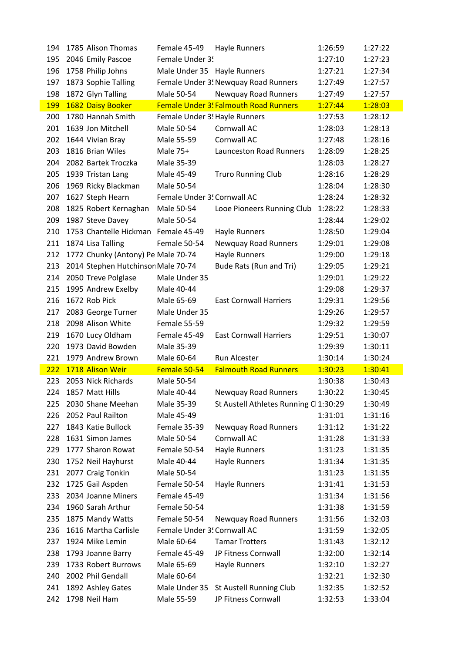| 194 | 1785 Alison Thomas                  | Female 45-49                  | Hayle Runners                                | 1:26:59 | 1:27:22 |
|-----|-------------------------------------|-------------------------------|----------------------------------------------|---------|---------|
| 195 | 2046 Emily Pascoe                   | Female Under 3!               |                                              | 1:27:10 | 1:27:23 |
| 196 | 1758 Philip Johns                   | Male Under 35 Hayle Runners   |                                              | 1:27:21 | 1:27:34 |
| 197 | 1873 Sophie Talling                 |                               | Female Under 3! Newquay Road Runners         | 1:27:49 | 1:27:57 |
| 198 | 1872 Glyn Talling                   | Male 50-54                    | Newquay Road Runners                         | 1:27:49 | 1:27:57 |
| 199 | 1682 Daisy Booker                   |                               | <b>Female Under 3! Falmouth Road Runners</b> | 1:27:44 | 1:28:03 |
| 200 | 1780 Hannah Smith                   | Female Under 3! Hayle Runners |                                              | 1:27:53 | 1:28:12 |
| 201 | 1639 Jon Mitchell                   | Male 50-54                    | <b>Cornwall AC</b>                           | 1:28:03 | 1:28:13 |
| 202 | 1644 Vivian Bray                    | Male 55-59                    | Cornwall AC                                  | 1:27:48 | 1:28:16 |
| 203 | 1816 Brian Wiles                    | Male 75+                      | <b>Launceston Road Runners</b>               | 1:28:09 | 1:28:25 |
| 204 | 2082 Bartek Troczka                 | Male 35-39                    |                                              | 1:28:03 | 1:28:27 |
| 205 | 1939 Tristan Lang                   | Male 45-49                    | <b>Truro Running Club</b>                    | 1:28:16 | 1:28:29 |
| 206 | 1969 Ricky Blackman                 | Male 50-54                    |                                              | 1:28:04 | 1:28:30 |
| 207 | 1627 Steph Hearn                    | Female Under 3! Cornwall AC   |                                              | 1:28:24 | 1:28:32 |
| 208 | 1825 Robert Kernaghan               | Male 50-54                    | Looe Pioneers Running Club                   | 1:28:22 | 1:28:33 |
| 209 | 1987 Steve Davey                    | Male 50-54                    |                                              | 1:28:44 | 1:29:02 |
| 210 | 1753 Chantelle Hickman Female 45-49 |                               | Hayle Runners                                | 1:28:50 | 1:29:04 |
| 211 | 1874 Lisa Talling                   | Female 50-54                  | Newquay Road Runners                         | 1:29:01 | 1:29:08 |
| 212 | 1772 Chunky (Antony) Pe Male 70-74  |                               | <b>Hayle Runners</b>                         | 1:29:00 | 1:29:18 |
| 213 | 2014 Stephen Hutchinson Male 70-74  |                               | Bude Rats (Run and Tri)                      | 1:29:05 | 1:29:21 |
| 214 | 2050 Treve Polglase                 | Male Under 35                 |                                              | 1:29:01 | 1:29:22 |
| 215 | 1995 Andrew Exelby                  | Male 40-44                    |                                              | 1:29:08 | 1:29:37 |
| 216 | 1672 Rob Pick                       | Male 65-69                    | <b>East Cornwall Harriers</b>                | 1:29:31 | 1:29:56 |
| 217 | 2083 George Turner                  | Male Under 35                 |                                              | 1:29:26 | 1:29:57 |
| 218 | 2098 Alison White                   | Female 55-59                  |                                              | 1:29:32 | 1:29:59 |
| 219 | 1670 Lucy Oldham                    | Female 45-49                  | <b>East Cornwall Harriers</b>                | 1:29:51 | 1:30:07 |
| 220 | 1973 David Bowden                   | Male 35-39                    |                                              | 1:29:39 | 1:30:11 |
| 221 | 1979 Andrew Brown                   | Male 60-64                    | Run Alcester                                 | 1:30:14 | 1:30:24 |
| 222 | 1718 Alison Weir                    | Female 50-54                  | <b>Falmouth Road Runners</b>                 | 1:30:23 | 1:30:41 |
| 223 | 2053 Nick Richards                  | Male 50-54                    |                                              | 1:30:38 | 1:30:43 |
| 224 | 1857 Matt Hills                     | Male 40-44                    | <b>Newquay Road Runners</b>                  | 1:30:22 | 1:30:45 |
| 225 | 2030 Shane Meehan                   | Male 35-39                    | St Austell Athletes Running Cl 1:30:29       |         | 1:30:49 |
| 226 | 2052 Paul Railton                   | Male 45-49                    |                                              | 1:31:01 | 1:31:16 |
| 227 | 1843 Katie Bullock                  | Female 35-39                  | Newquay Road Runners                         | 1:31:12 | 1:31:22 |
| 228 | 1631 Simon James                    | Male 50-54                    | Cornwall AC                                  | 1:31:28 | 1:31:33 |
| 229 | 1777 Sharon Rowat                   | Female 50-54                  | Hayle Runners                                | 1:31:23 | 1:31:35 |
| 230 | 1752 Neil Hayhurst                  | Male 40-44                    | Hayle Runners                                | 1:31:34 | 1:31:35 |
| 231 | 2077 Craig Tonkin                   | Male 50-54                    |                                              | 1:31:23 | 1:31:35 |
| 232 | 1725 Gail Aspden                    | Female 50-54                  | Hayle Runners                                | 1:31:41 | 1:31:53 |
| 233 | 2034 Joanne Miners                  | Female 45-49                  |                                              | 1:31:34 | 1:31:56 |
| 234 | 1960 Sarah Arthur                   | Female 50-54                  |                                              | 1:31:38 | 1:31:59 |
| 235 | 1875 Mandy Watts                    | Female 50-54                  | <b>Newquay Road Runners</b>                  | 1:31:56 | 1:32:03 |
| 236 | 1616 Martha Carlisle                | Female Under 3! Cornwall AC   |                                              | 1:31:59 | 1:32:05 |
| 237 | 1924 Mike Lemin                     | Male 60-64                    | <b>Tamar Trotters</b>                        | 1:31:43 | 1:32:12 |
| 238 | 1793 Joanne Barry                   | Female 45-49                  | JP Fitness Cornwall                          | 1:32:00 | 1:32:14 |
| 239 | 1733 Robert Burrows                 | Male 65-69                    | Hayle Runners                                | 1:32:10 | 1:32:27 |
| 240 | 2002 Phil Gendall                   | Male 60-64                    |                                              | 1:32:21 | 1:32:30 |
| 241 | 1892 Ashley Gates                   | Male Under 35                 | St Austell Running Club                      | 1:32:35 | 1:32:52 |
| 242 | 1798 Neil Ham                       | Male 55-59                    | JP Fitness Cornwall                          | 1:32:53 | 1:33:04 |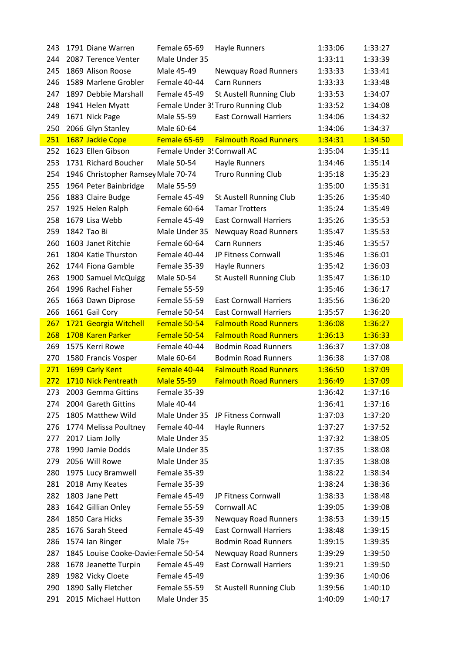| 243 | 1791 Diane Warren                     | Female 65-69                | Hayle Runners                      | 1:33:06 | 1:33:27 |
|-----|---------------------------------------|-----------------------------|------------------------------------|---------|---------|
| 244 | 2087 Terence Venter                   | Male Under 35               |                                    | 1:33:11 | 1:33:39 |
| 245 | 1869 Alison Roose                     | Male 45-49                  | <b>Newquay Road Runners</b>        | 1:33:33 | 1:33:41 |
| 246 | 1589 Marlene Grobler                  | Female 40-44                | <b>Carn Runners</b>                | 1:33:33 | 1:33:48 |
| 247 | 1897 Debbie Marshall                  | Female 45-49                | St Austell Running Club            | 1:33:53 | 1:34:07 |
| 248 | 1941 Helen Myatt                      |                             | Female Under 3! Truro Running Club | 1:33:52 | 1:34:08 |
| 249 | 1671 Nick Page                        | Male 55-59                  | <b>East Cornwall Harriers</b>      | 1:34:06 | 1:34:32 |
| 250 | 2066 Glyn Stanley                     | Male 60-64                  |                                    | 1:34:06 | 1:34:37 |
| 251 | 1687 Jackie Cope                      | Female 65-69                | <b>Falmouth Road Runners</b>       | 1:34:31 | 1:34:50 |
| 252 | 1623 Ellen Gibson                     | Female Under 3! Cornwall AC |                                    | 1:35:04 | 1:35:11 |
| 253 | 1731 Richard Boucher                  | Male 50-54                  | Hayle Runners                      | 1:34:46 | 1:35:14 |
| 254 | 1946 Christopher Ramsey Male 70-74    |                             | <b>Truro Running Club</b>          | 1:35:18 | 1:35:23 |
| 255 | 1964 Peter Bainbridge                 | Male 55-59                  |                                    | 1:35:00 | 1:35:31 |
| 256 | 1883 Claire Budge                     | Female 45-49                | <b>St Austell Running Club</b>     | 1:35:26 | 1:35:40 |
| 257 | 1925 Helen Ralph                      | Female 60-64                | <b>Tamar Trotters</b>              | 1:35:24 | 1:35:49 |
| 258 | 1679 Lisa Webb                        | Female 45-49                | <b>East Cornwall Harriers</b>      | 1:35:26 | 1:35:53 |
| 259 | 1842 Tao Bi                           | Male Under 35               | Newquay Road Runners               | 1:35:47 | 1:35:53 |
| 260 | 1603 Janet Ritchie                    | Female 60-64                | <b>Carn Runners</b>                | 1:35:46 | 1:35:57 |
| 261 | 1804 Katie Thurston                   | Female 40-44                | JP Fitness Cornwall                | 1:35:46 | 1:36:01 |
| 262 | 1744 Fiona Gamble                     | Female 35-39                | Hayle Runners                      | 1:35:42 | 1:36:03 |
| 263 | 1900 Samuel McQuigg                   | Male 50-54                  | St Austell Running Club            | 1:35:47 | 1:36:10 |
| 264 | 1996 Rachel Fisher                    | Female 55-59                |                                    | 1:35:46 | 1:36:17 |
| 265 | 1663 Dawn Diprose                     | Female 55-59                | <b>East Cornwall Harriers</b>      | 1:35:56 | 1:36:20 |
| 266 | 1661 Gail Cory                        | Female 50-54                | <b>East Cornwall Harriers</b>      | 1:35:57 | 1:36:20 |
| 267 | 1721 Georgia Witchell                 | Female 50-54                | <b>Falmouth Road Runners</b>       | 1:36:08 | 1:36:27 |
| 268 | 1708 Karen Parker                     | Female 50-54                | <b>Falmouth Road Runners</b>       | 1:36:13 | 1:36:33 |
| 269 | 1575 Kerri Rowe                       | Female 40-44                | <b>Bodmin Road Runners</b>         | 1:36:37 | 1:37:08 |
| 270 | 1580 Francis Vosper                   | Male 60-64                  | <b>Bodmin Road Runners</b>         | 1:36:38 | 1:37:08 |
| 271 | 1699 Carly Kent                       | Female 40-44                | <b>Falmouth Road Runners</b>       | 1:36:50 | 1:37:09 |
| 272 | 1710 Nick Pentreath                   | <b>Male 55-59</b>           | <b>Falmouth Road Runners</b>       | 1:36:49 | 1:37:09 |
| 273 | 2003 Gemma Gittins                    | Female 35-39                |                                    | 1:36:42 | 1:37:16 |
| 274 | 2004 Gareth Gittins                   | Male 40-44                  |                                    | 1:36:41 | 1:37:16 |
| 275 | 1805 Matthew Wild                     | Male Under 35               | JP Fitness Cornwall                | 1:37:03 | 1:37:20 |
| 276 | 1774 Melissa Poultney                 | Female 40-44                | Hayle Runners                      | 1:37:27 | 1:37:52 |
| 277 | 2017 Liam Jolly                       | Male Under 35               |                                    | 1:37:32 | 1:38:05 |
| 278 | 1990 Jamie Dodds                      | Male Under 35               |                                    | 1:37:35 | 1:38:08 |
| 279 | 2056 Will Rowe                        | Male Under 35               |                                    | 1:37:35 | 1:38:08 |
| 280 | 1975 Lucy Bramwell                    | Female 35-39                |                                    | 1:38:22 | 1:38:34 |
| 281 | 2018 Amy Keates                       | Female 35-39                |                                    | 1:38:24 | 1:38:36 |
| 282 | 1803 Jane Pett                        | Female 45-49                | JP Fitness Cornwall                | 1:38:33 | 1:38:48 |
| 283 | 1642 Gillian Onley                    | Female 55-59                | Cornwall AC                        | 1:39:05 | 1:39:08 |
| 284 | 1850 Cara Hicks                       | Female 35-39                | <b>Newquay Road Runners</b>        | 1:38:53 | 1:39:15 |
| 285 | 1676 Sarah Steed                      | Female 45-49                | <b>East Cornwall Harriers</b>      | 1:38:48 | 1:39:15 |
| 286 | 1574 Ian Ringer                       | Male 75+                    | <b>Bodmin Road Runners</b>         | 1:39:15 | 1:39:35 |
| 287 | 1845 Louise Cooke-Davie: Female 50-54 |                             | Newquay Road Runners               | 1:39:29 | 1:39:50 |
| 288 | 1678 Jeanette Turpin                  | Female 45-49                | <b>East Cornwall Harriers</b>      | 1:39:21 | 1:39:50 |
| 289 | 1982 Vicky Cloete                     | Female 45-49                |                                    | 1:39:36 | 1:40:06 |
| 290 | 1890 Sally Fletcher                   | Female 55-59                | St Austell Running Club            | 1:39:56 | 1:40:10 |
| 291 | 2015 Michael Hutton                   | Male Under 35               |                                    | 1:40:09 | 1:40:17 |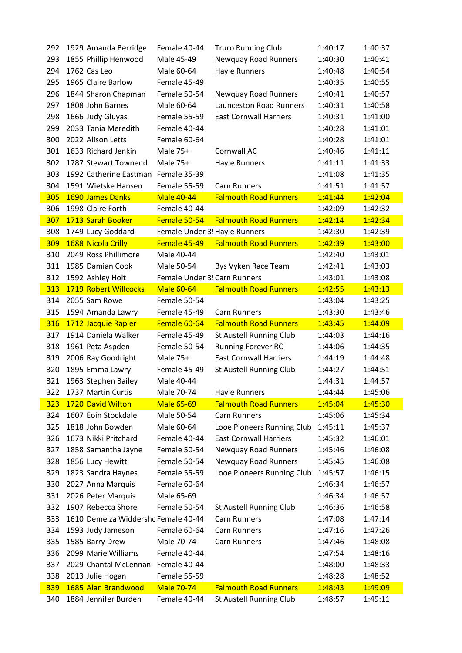| 292 | 1929 Amanda Berridge                | Female 40-44      | <b>Truro Running Club</b>      | 1:40:17 | 1:40:37 |
|-----|-------------------------------------|-------------------|--------------------------------|---------|---------|
| 293 | 1855 Phillip Henwood                | Male 45-49        | Newquay Road Runners           | 1:40:30 | 1:40:41 |
| 294 | 1762 Cas Leo                        | Male 60-64        | Hayle Runners                  | 1:40:48 | 1:40:54 |
| 295 | 1965 Claire Barlow                  | Female 45-49      |                                | 1:40:35 | 1:40:55 |
| 296 | 1844 Sharon Chapman                 | Female 50-54      | Newquay Road Runners           | 1:40:41 | 1:40:57 |
| 297 | 1808 John Barnes                    | Male 60-64        | <b>Launceston Road Runners</b> | 1:40:31 | 1:40:58 |
| 298 | 1666 Judy Gluyas                    | Female 55-59      | <b>East Cornwall Harriers</b>  | 1:40:31 | 1:41:00 |
| 299 | 2033 Tania Meredith                 | Female 40-44      |                                | 1:40:28 | 1:41:01 |
| 300 | 2022 Alison Letts                   | Female 60-64      |                                | 1:40:28 | 1:41:01 |
| 301 | 1633 Richard Jenkin                 | Male 75+          | Cornwall AC                    | 1:40:46 | 1:41:11 |
| 302 | 1787 Stewart Townend                | Male 75+          | <b>Hayle Runners</b>           | 1:41:11 | 1:41:33 |
| 303 | 1992 Catherine Eastman              | Female 35-39      |                                | 1:41:08 | 1:41:35 |
| 304 | 1591 Wietske Hansen                 | Female 55-59      | <b>Carn Runners</b>            | 1:41:51 | 1:41:57 |
| 305 | 1690 James Danks                    | <b>Male 40-44</b> | <b>Falmouth Road Runners</b>   | 1:41:44 | 1:42:04 |
| 306 | 1998 Claire Forth                   | Female 40-44      |                                | 1:42:09 | 1:42:32 |
| 307 | 1713 Sarah Booker                   | Female 50-54      | <b>Falmouth Road Runners</b>   | 1:42:14 | 1:42:34 |
| 308 | 1749 Lucy Goddard                   |                   | Female Under 3! Hayle Runners  | 1:42:30 | 1:42:39 |
| 309 | 1688 Nicola Crilly                  | Female 45-49      | <b>Falmouth Road Runners</b>   | 1:42:39 | 1:43:00 |
| 310 | 2049 Ross Phillimore                | Male 40-44        |                                | 1:42:40 | 1:43:01 |
| 311 | 1985 Damian Cook                    | Male 50-54        | Bys Vyken Race Team            | 1:42:41 | 1:43:03 |
| 312 | 1592 Ashley Holt                    |                   | Female Under 3! Carn Runners   | 1:43:01 | 1:43:08 |
| 313 | 1719 Robert Willcocks               | <b>Male 60-64</b> | <b>Falmouth Road Runners</b>   | 1:42:55 | 1:43:13 |
| 314 | 2055 Sam Rowe                       | Female 50-54      |                                | 1:43:04 | 1:43:25 |
| 315 | 1594 Amanda Lawry                   | Female 45-49      | <b>Carn Runners</b>            | 1:43:30 | 1:43:46 |
| 316 | 1712 Jacquie Rapier                 | Female 60-64      | <b>Falmouth Road Runners</b>   | 1:43:45 | 1:44:09 |
| 317 | 1914 Daniela Walker                 | Female 45-49      | St Austell Running Club        | 1:44:03 | 1:44:16 |
| 318 | 1961 Peta Aspden                    | Female 50-54      | <b>Running Forever RC</b>      | 1:44:06 | 1:44:35 |
| 319 | 2006 Ray Goodright                  | Male 75+          | <b>East Cornwall Harriers</b>  | 1:44:19 | 1:44:48 |
| 320 | 1895 Emma Lawry                     | Female 45-49      | St Austell Running Club        | 1:44:27 | 1:44:51 |
| 321 | 1963 Stephen Bailey                 | Male 40-44        |                                | 1:44:31 | 1:44:57 |
|     | 322 1737 Martin Curtis              | Male 70-74        | <b>Hayle Runners</b>           | 1:44:44 | 1:45:06 |
| 323 | 1720 David Wilton                   | <b>Male 65-69</b> | <b>Falmouth Road Runners</b>   | 1:45:04 | 1:45:30 |
| 324 | 1607 Eoin Stockdale                 | Male 50-54        | <b>Carn Runners</b>            | 1:45:06 | 1:45:34 |
| 325 | 1818 John Bowden                    | Male 60-64        | Looe Pioneers Running Club     | 1:45:11 | 1:45:37 |
| 326 | 1673 Nikki Pritchard                | Female 40-44      | <b>East Cornwall Harriers</b>  | 1:45:32 | 1:46:01 |
| 327 | 1858 Samantha Jayne                 | Female 50-54      | <b>Newquay Road Runners</b>    | 1:45:46 | 1:46:08 |
| 328 | 1856 Lucy Hewitt                    | Female 50-54      | <b>Newquay Road Runners</b>    | 1:45:45 | 1:46:08 |
| 329 | 1823 Sandra Haynes                  | Female 55-59      | Looe Pioneers Running Club     | 1:45:57 | 1:46:15 |
| 330 | 2027 Anna Marquis                   | Female 60-64      |                                | 1:46:34 | 1:46:57 |
| 331 | 2026 Peter Marquis                  | Male 65-69        |                                | 1:46:34 | 1:46:57 |
| 332 | 1907 Rebecca Shore                  | Female 50-54      | St Austell Running Club        | 1:46:36 | 1:46:58 |
| 333 | 1610 Demelza Widdershc Female 40-44 |                   | <b>Carn Runners</b>            | 1:47:08 | 1:47:14 |
| 334 | 1593 Judy Jameson                   | Female 60-64      | <b>Carn Runners</b>            | 1:47:16 | 1:47:26 |
| 335 | 1585 Barry Drew                     | Male 70-74        | <b>Carn Runners</b>            | 1:47:46 | 1:48:08 |
| 336 | 2099 Marie Williams                 | Female 40-44      |                                | 1:47:54 | 1:48:16 |
| 337 | 2029 Chantal McLennan               | Female 40-44      |                                | 1:48:00 | 1:48:33 |
| 338 | 2013 Julie Hogan                    | Female 55-59      |                                | 1:48:28 | 1:48:52 |
| 339 | 1685 Alan Brandwood                 | <b>Male 70-74</b> | <b>Falmouth Road Runners</b>   | 1:48:43 | 1:49:09 |
| 340 | 1884 Jennifer Burden                | Female 40-44      | St Austell Running Club        | 1:48:57 | 1:49:11 |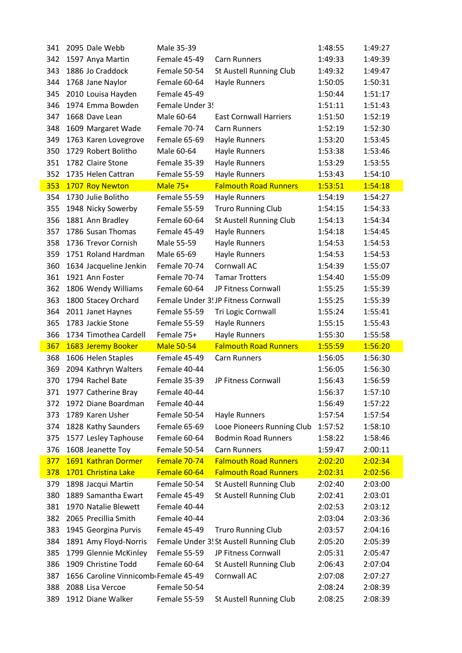| 341 | 2095 Dale Webb                       | Male 35-39        |                                         | 1:48:55 | 1:49:27 |
|-----|--------------------------------------|-------------------|-----------------------------------------|---------|---------|
| 342 | 1597 Anya Martin                     | Female 45-49      | <b>Carn Runners</b>                     | 1:49:33 | 1:49:39 |
| 343 | 1886 Jo Craddock                     | Female 50-54      | <b>St Austell Running Club</b>          | 1:49:32 | 1:49:47 |
| 344 | 1768 Jane Naylor                     | Female 60-64      | Hayle Runners                           | 1:50:05 | 1:50:31 |
| 345 | 2010 Louisa Hayden                   | Female 45-49      |                                         | 1:50:44 | 1:51:17 |
| 346 | 1974 Emma Bowden                     | Female Under 3!   |                                         | 1:51:11 | 1:51:43 |
| 347 | 1668 Dave Lean                       | Male 60-64        | <b>East Cornwall Harriers</b>           | 1:51:50 | 1:52:19 |
| 348 | 1609 Margaret Wade                   | Female 70-74      | <b>Carn Runners</b>                     | 1:52:19 | 1:52:30 |
| 349 | 1763 Karen Lovegrove                 | Female 65-69      | Hayle Runners                           | 1:53:20 | 1:53:45 |
| 350 | 1729 Robert Bolitho                  | Male 60-64        | Hayle Runners                           | 1:53:38 | 1:53:46 |
| 351 | 1782 Claire Stone                    | Female 35-39      | <b>Hayle Runners</b>                    | 1:53:29 | 1:53:55 |
| 352 | 1735 Helen Cattran                   | Female 55-59      | <b>Hayle Runners</b>                    | 1:53:43 | 1:54:10 |
| 353 | 1707 Roy Newton                      | Male 75+          | <b>Falmouth Road Runners</b>            | 1:53:51 | 1:54:18 |
| 354 | 1730 Julie Bolitho                   | Female 55-59      | <b>Hayle Runners</b>                    | 1:54:19 | 1:54:27 |
| 355 | 1948 Nicky Sowerby                   | Female 55-59      | <b>Truro Running Club</b>               | 1:54:15 | 1:54:33 |
| 356 | 1881 Ann Bradley                     | Female 60-64      | St Austell Running Club                 | 1:54:13 | 1:54:34 |
| 357 | 1786 Susan Thomas                    | Female 45-49      | Hayle Runners                           | 1:54:18 | 1:54:45 |
| 358 | 1736 Trevor Cornish                  | Male 55-59        | Hayle Runners                           | 1:54:53 | 1:54:53 |
| 359 | 1751 Roland Hardman                  | Male 65-69        | <b>Hayle Runners</b>                    | 1:54:53 | 1:54:53 |
| 360 | 1634 Jacqueline Jenkin               | Female 70-74      | Cornwall AC                             | 1:54:39 | 1:55:07 |
| 361 | 1921 Ann Foster                      | Female 70-74      | <b>Tamar Trotters</b>                   | 1:54:40 | 1:55:09 |
| 362 | 1806 Wendy Williams                  | Female 60-64      | JP Fitness Cornwall                     | 1:55:25 | 1:55:39 |
| 363 | 1800 Stacey Orchard                  |                   | Female Under 3! JP Fitness Cornwall     | 1:55:25 | 1:55:39 |
| 364 | 2011 Janet Haynes                    | Female 55-59      | Tri Logic Cornwall                      | 1:55:24 | 1:55:41 |
| 365 | 1783 Jackie Stone                    | Female 55-59      | <b>Hayle Runners</b>                    | 1:55:15 | 1:55:43 |
| 366 | 1734 Timothea Cardell                | Female 75+        | <b>Hayle Runners</b>                    | 1:55:30 | 1:55:58 |
| 367 | 1683 Jeremy Booker                   | <b>Male 50-54</b> | <b>Falmouth Road Runners</b>            | 1:55:59 | 1:56:20 |
| 368 | 1606 Helen Staples                   | Female 45-49      | <b>Carn Runners</b>                     | 1:56:05 | 1:56:30 |
| 369 | 2094 Kathryn Walters                 | Female 40-44      |                                         | 1:56:05 | 1:56:30 |
| 370 | 1794 Rachel Bate                     | Female 35-39      | JP Fitness Cornwall                     | 1:56:43 | 1:56:59 |
|     | 371 1977 Catherine Bray              | Female 40-44      |                                         | 1:56:37 | 1:57:10 |
| 372 | 1972 Diane Boardman                  | Female 40-44      |                                         | 1:56:49 | 1:57:22 |
| 373 | 1789 Karen Usher                     | Female 50-54      | <b>Hayle Runners</b>                    | 1:57:54 | 1:57:54 |
| 374 | 1828 Kathy Saunders                  | Female 65-69      |                                         |         |         |
|     |                                      |                   | Looe Pioneers Running Club              | 1:57:52 | 1:58:10 |
| 375 | 1577 Lesley Taphouse                 | Female 60-64      | <b>Bodmin Road Runners</b>              | 1:58:22 | 1:58:46 |
| 376 | 1608 Jeanette Toy                    | Female 50-54      | <b>Carn Runners</b>                     | 1:59:47 | 2:00:11 |
| 377 | 1691 Kathran Dormer                  | Female 70-74      | <b>Falmouth Road Runners</b>            | 2:02:20 | 2:02:34 |
| 378 | 1701 Christina Lake                  | Female 60-64      | <b>Falmouth Road Runners</b>            | 2:02:31 | 2:02:56 |
| 379 | 1898 Jacqui Martin                   | Female 50-54      | St Austell Running Club                 | 2:02:40 | 2:03:00 |
| 380 | 1889 Samantha Ewart                  | Female 45-49      | St Austell Running Club                 | 2:02:41 | 2:03:01 |
| 381 | 1970 Natalie Blewett                 | Female 40-44      |                                         | 2:02:53 | 2:03:12 |
| 382 | 2065 Precillia Smith                 | Female 40-44      |                                         | 2:03:04 | 2:03:36 |
| 383 | 1945 Georgina Purvis                 | Female 45-49      | <b>Truro Running Club</b>               | 2:03:57 | 2:04:16 |
| 384 | 1891 Amy Floyd-Norris                |                   | Female Under 3! St Austell Running Club | 2:05:20 | 2:05:39 |
| 385 | 1799 Glennie McKinley                | Female 55-59      | JP Fitness Cornwall                     | 2:05:31 | 2:05:47 |
| 386 | 1909 Christine Todd                  | Female 60-64      | St Austell Running Club                 | 2:06:43 | 2:07:04 |
| 387 | 1656 Caroline Vinnicomb Female 45-49 |                   | Cornwall AC                             | 2:07:08 | 2:07:27 |
| 388 | 2088 Lisa Vercoe                     | Female 50-54      |                                         | 2:08:24 | 2:08:39 |
| 389 | 1912 Diane Walker                    | Female 55-59      | St Austell Running Club                 | 2:08:25 | 2:08:39 |